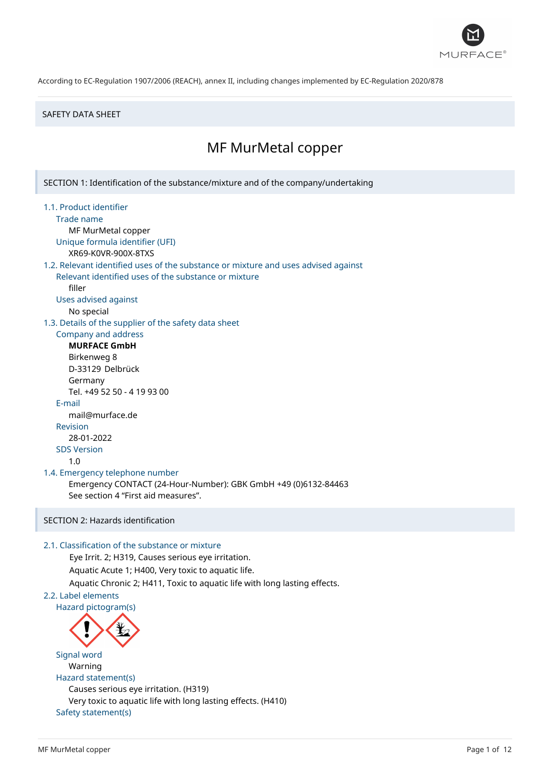

#### SAFETY DATA SHEET

# MF MurMetal copper

SECTION 1: Identification of the substance/mixture and of the company/undertaking

- 1.1. Product identifier
	- Trade name

MF MurMetal copper Unique formula identifier (UFI)

XR69-K0VR-900X-8TXS

# 1.2. Relevant identified uses of the substance or mixture and uses advised against

Relevant identified uses of the substance or mixture filler

Uses advised against

No special

1.3. Details of the supplier of the safety data sheet

Company and address **MURFACE GmbH**

Birkenweg 8 D-33129 Delbrück Germany Tel. +49 52 50 - 4 19 93 00 E-mail mail@murface.de Revision 28-01-2022 SDS Version 1.0

# 1.4. Emergency telephone number

Emergency CONTACT (24-Hour-Number): GBK GmbH +49 (0)6132-84463 See section 4 "First aid measures".

# SECTION 2: Hazards identification

### 2.1. Classification of the substance or mixture

Eye Irrit. 2; H319, Causes serious eye irritation. Aquatic Acute 1; H400, Very toxic to aquatic life. Aquatic Chronic 2; H411, Toxic to aquatic life with long lasting effects.

# 2.2. Label elements

Hazard pictogram(s)



Signal word Warning Hazard statement(s) Causes serious eye irritation. (H319) Very toxic to aquatic life with long lasting effects. (H410) Safety statement(s)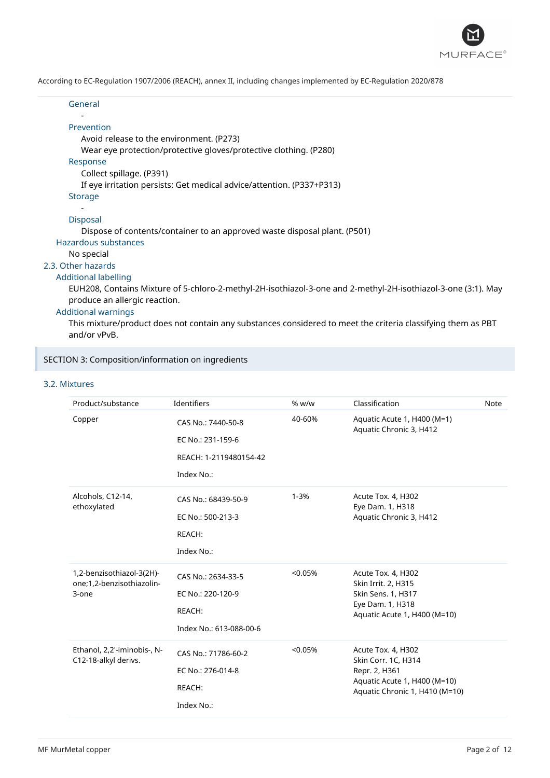

| General                                                                                                                                        |  |
|------------------------------------------------------------------------------------------------------------------------------------------------|--|
| Prevention                                                                                                                                     |  |
| Avoid release to the environment. (P273)                                                                                                       |  |
| Wear eye protection/protective gloves/protective clothing. (P280)                                                                              |  |
| Response                                                                                                                                       |  |
| Collect spillage. (P391)                                                                                                                       |  |
| If eye irritation persists: Get medical advice/attention. (P337+P313)                                                                          |  |
| <b>Storage</b>                                                                                                                                 |  |
|                                                                                                                                                |  |
| <b>Disposal</b>                                                                                                                                |  |
| Dispose of contents/container to an approved waste disposal plant. (P501)                                                                      |  |
| Hazardous substances                                                                                                                           |  |
| No special                                                                                                                                     |  |
| 2.3. Other hazards                                                                                                                             |  |
| <b>Additional labelling</b>                                                                                                                    |  |
| EUH208, Contains Mixture of 5-chloro-2-methyl-2H-isothiazol-3-one and 2-methyl-2H-isothiazol-3-one (3:1). May<br>produce an allergic reaction. |  |
| <b>Additional warnings</b>                                                                                                                     |  |
| This mixture/product does not sentain any substances sensidered to meet the sriteria slassifying them as DPT                                   |  |

This mixture/product does not contain any substances considered to meet the criteria classifying them as PBT and/or vPvB.

# SECTION 3: Composition/information on ingredients

# 3.2. Mixtures

| Product/substance                                               | Identifiers                                                                     | % w/w    | Classification                                                                                                               | Note |
|-----------------------------------------------------------------|---------------------------------------------------------------------------------|----------|------------------------------------------------------------------------------------------------------------------------------|------|
| Copper                                                          | CAS No.: 7440-50-8<br>EC No.: 231-159-6<br>REACH: 1-2119480154-42<br>Index No.: | 40-60%   | Aquatic Acute 1, H400 (M=1)<br>Aquatic Chronic 3, H412                                                                       |      |
| Alcohols, C12-14,<br>ethoxylated                                | CAS No.: 68439-50-9<br>EC No.: 500-213-3<br>REACH:<br>Index No.:                | $1 - 3%$ | Acute Tox. 4, H302<br>Eye Dam. 1, H318<br>Aquatic Chronic 3, H412                                                            |      |
| 1,2-benzisothiazol-3(2H)-<br>one;1,2-benzisothiazolin-<br>3-one | CAS No.: 2634-33-5<br>EC No.: 220-120-9<br>REACH:<br>Index No.: 613-088-00-6    | < 0.05%  | Acute Tox. 4, H302<br>Skin Irrit. 2, H315<br>Skin Sens. 1, H317<br>Eye Dam. 1, H318<br>Aquatic Acute 1, H400 (M=10)          |      |
| Ethanol, 2,2'-iminobis-, N-<br>C12-18-alkyl derivs.             | CAS No.: 71786-60-2<br>EC No.: 276-014-8<br>REACH:<br>Index No.:                | < 0.05%  | Acute Tox. 4, H302<br>Skin Corr. 1C, H314<br>Repr. 2, H361<br>Aquatic Acute 1, H400 (M=10)<br>Aquatic Chronic 1, H410 (M=10) |      |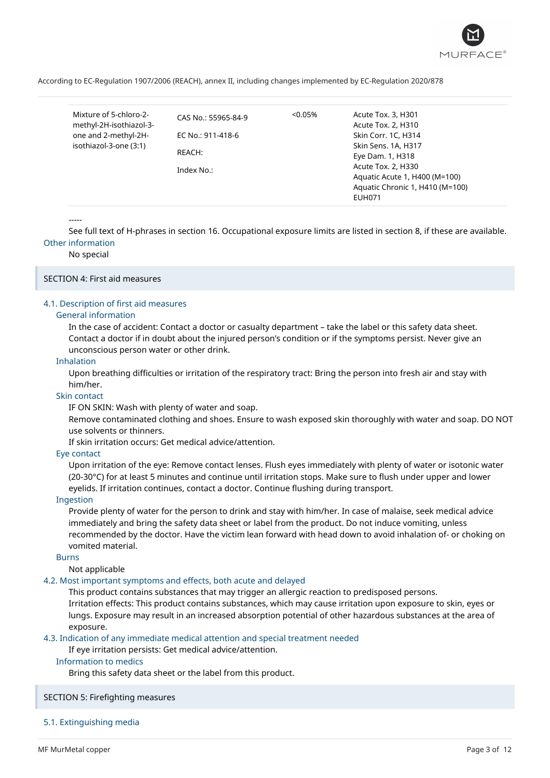

| Mixture of 5-chloro-2-  | CAS No.: 55965-84-9 | $< 0.05\%$ | Acute Tox. 3, H301              |  |
|-------------------------|---------------------|------------|---------------------------------|--|
| methyl-2H-isothiazol-3- |                     |            | Acute Tox. 2, H310              |  |
| one and 2-methyl-2H-    | EC No.: 911-418-6   |            | Skin Corr. 1C, H314             |  |
| isothiazol-3-one (3:1)  |                     |            | Skin Sens. 1A, H317             |  |
|                         | REACH:              |            | Eye Dam. 1, H318                |  |
|                         | Index No.:          |            | Acute Tox. 2, H330              |  |
|                         |                     |            | Aquatic Acute 1, H400 (M=100)   |  |
|                         |                     |            | Aquatic Chronic 1, H410 (M=100) |  |
|                         |                     |            | <b>EUH071</b>                   |  |
|                         |                     |            |                                 |  |

-----

See full text of H-phrases in section 16. Occupational exposure limits are listed in section 8, if these are available. Other information

#### No special

#### SECTION 4: First aid measures

#### 4.1. Description of first aid measures

#### General information

In the case of accident: Contact a doctor or casualty department – take the label or this safety data sheet. Contact a doctor if in doubt about the injured person's condition or if the symptoms persist. Never give an unconscious person water or other drink.

#### Inhalation

Upon breathing difficulties or irritation of the respiratory tract: Bring the person into fresh air and stay with him/her.

#### Skin contact

IF ON SKIN: Wash with plenty of water and soap.

Remove contaminated clothing and shoes. Ensure to wash exposed skin thoroughly with water and soap. DO NOT use solvents or thinners.

If skin irritation occurs: Get medical advice/attention.

#### Eye contact

Upon irritation of the eye: Remove contact lenses. Flush eyes immediately with plenty of water or isotonic water (20-30°C) for at least 5 minutes and continue until irritation stops. Make sure to flush under upper and lower eyelids. If irritation continues, contact a doctor. Continue flushing during transport.

#### Ingestion

Provide plenty of water for the person to drink and stay with him/her. In case of malaise, seek medical advice immediately and bring the safety data sheet or label from the product. Do not induce vomiting, unless recommended by the doctor. Have the victim lean forward with head down to avoid inhalation of- or choking on vomited material.

#### Burns

Not applicable

# 4.2. Most important symptoms and effects, both acute and delayed

This product contains substances that may trigger an allergic reaction to predisposed persons. Irritation effects: This product contains substances, which may cause irritation upon exposure to skin, eyes or lungs. Exposure may result in an increased absorption potential of other hazardous substances at the area of exposure.

# 4.3. Indication of any immediate medical attention and special treatment needed

If eye irritation persists: Get medical advice/attention.

# Information to medics

Bring this safety data sheet or the label from this product.

# SECTION 5: Firefighting measures

# 5.1. Extinguishing media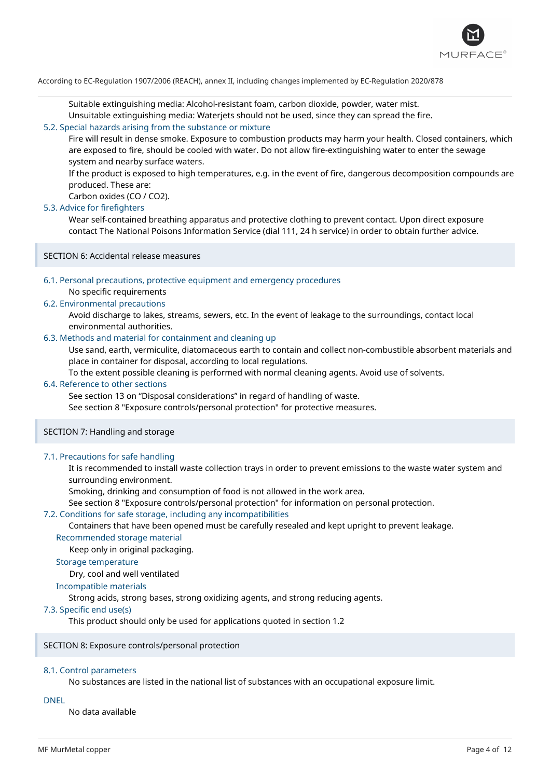

Suitable extinguishing media: Alcohol-resistant foam, carbon dioxide, powder, water mist.

Unsuitable extinguishing media: Waterjets should not be used, since they can spread the fire.

### 5.2. Special hazards arising from the substance or mixture

Fire will result in dense smoke. Exposure to combustion products may harm your health. Closed containers, which are exposed to fire, should be cooled with water. Do not allow fire-extinguishing water to enter the sewage system and nearby surface waters.

If the product is exposed to high temperatures, e.g. in the event of fire, dangerous decomposition compounds are produced. These are:

Carbon oxides (CO / CO2).

#### 5.3. Advice for firefighters

Wear self-contained breathing apparatus and protective clothing to prevent contact. Upon direct exposure contact The National Poisons Information Service (dial 111, 24 h service) in order to obtain further advice.

SECTION 6: Accidental release measures

# 6.1. Personal precautions, protective equipment and emergency procedures

No specific requirements

#### 6.2. Environmental precautions

Avoid discharge to lakes, streams, sewers, etc. In the event of leakage to the surroundings, contact local environmental authorities.

# 6.3. Methods and material for containment and cleaning up

Use sand, earth, vermiculite, diatomaceous earth to contain and collect non-combustible absorbent materials and place in container for disposal, according to local regulations.

To the extent possible cleaning is performed with normal cleaning agents. Avoid use of solvents.

# 6.4. Reference to other sections

See section 13 on "Disposal considerations" in regard of handling of waste.

See section 8 "Exposure controls/personal protection" for protective measures.

#### SECTION 7: Handling and storage

#### 7.1. Precautions for safe handling

It is recommended to install waste collection trays in order to prevent emissions to the waste water system and surrounding environment.

Smoking, drinking and consumption of food is not allowed in the work area.

See section 8 "Exposure controls/personal protection" for information on personal protection.

#### 7.2. Conditions for safe storage, including any incompatibilities

Containers that have been opened must be carefully resealed and kept upright to prevent leakage. Recommended storage material

Keep only in original packaging.

# Storage temperature

Dry, cool and well ventilated

#### Incompatible materials

Strong acids, strong bases, strong oxidizing agents, and strong reducing agents.

#### 7.3. Specific end use(s)

This product should only be used for applications quoted in section 1.2

#### SECTION 8: Exposure controls/personal protection

#### 8.1. Control parameters

No substances are listed in the national list of substances with an occupational exposure limit.

#### DNEL

No data available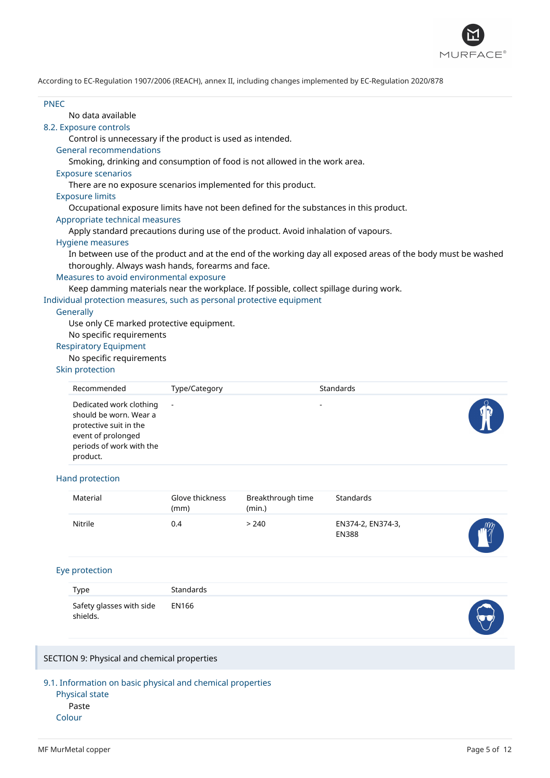

#### PNEC

# No data available

#### 8.2. Exposure controls

Control is unnecessary if the product is used as intended.

#### General recommendations

Smoking, drinking and consumption of food is not allowed in the work area.

#### Exposure scenarios

There are no exposure scenarios implemented for this product.

#### Exposure limits

Occupational exposure limits have not been defined for the substances in this product.

## Appropriate technical measures

Apply standard precautions during use of the product. Avoid inhalation of vapours.

#### Hygiene measures

In between use of the product and at the end of the working day all exposed areas of the body must be washed thoroughly. Always wash hands, forearms and face.

#### Measures to avoid environmental exposure

Keep damming materials near the workplace. If possible, collect spillage during work.

Individual protection measures, such as personal protective equipment

#### **Generally**

Use only CE marked protective equipment.

#### No specific requirements

# Respiratory Equipment

# No specific requirements

#### Skin protection

| Recommended                                                                                                                               | Type/Category | Standards |  |
|-------------------------------------------------------------------------------------------------------------------------------------------|---------------|-----------|--|
| Dedicated work clothing<br>should be worn. Wear a<br>protective suit in the<br>event of prolonged<br>periods of work with the<br>product. | $\sim$        | -         |  |

#### Hand protection

| Material | Glove thickness<br>(mm) | Breakthrough time<br>(min.) | Standards                         |              |
|----------|-------------------------|-----------------------------|-----------------------------------|--------------|
| Nitrile  | 0.4                     | > 240                       | EN374-2, EN374-3,<br><b>EN388</b> | $m_{\gamma}$ |

#### Eye protection

| Type                                       | Standards |  |
|--------------------------------------------|-----------|--|
| Safety glasses with side EN166<br>shields. |           |  |

#### SECTION 9: Physical and chemical properties

9.1. Information on basic physical and chemical properties

Physical state Paste Colour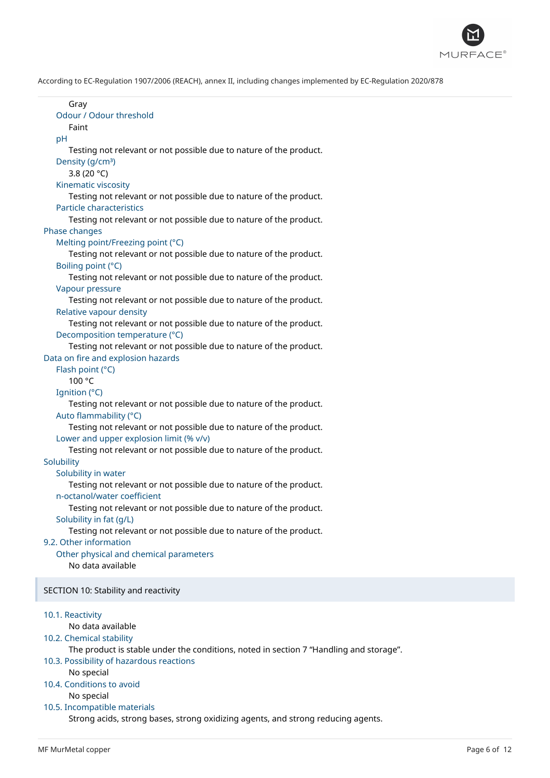

| Gray<br>Odour / Odour threshold                                                                                    |
|--------------------------------------------------------------------------------------------------------------------|
| Faint                                                                                                              |
| pH                                                                                                                 |
| Testing not relevant or not possible due to nature of the product.                                                 |
| Density (g/cm <sup>3</sup> )<br>3.8 (20 $°C$ )                                                                     |
| Kinematic viscosity                                                                                                |
| Testing not relevant or not possible due to nature of the product.                                                 |
| <b>Particle characteristics</b>                                                                                    |
| Testing not relevant or not possible due to nature of the product.<br>Phase changes                                |
| Melting point/Freezing point (°C)                                                                                  |
| Testing not relevant or not possible due to nature of the product.                                                 |
| Boiling point (°C)                                                                                                 |
| Testing not relevant or not possible due to nature of the product.                                                 |
| Vapour pressure<br>Testing not relevant or not possible due to nature of the product.                              |
| Relative vapour density                                                                                            |
| Testing not relevant or not possible due to nature of the product.                                                 |
| Decomposition temperature (°C)                                                                                     |
| Testing not relevant or not possible due to nature of the product.                                                 |
| Data on fire and explosion hazards<br>Flash point (°C)                                                             |
| 100 °C                                                                                                             |
| Ignition (°C)                                                                                                      |
| Testing not relevant or not possible due to nature of the product.                                                 |
| Auto flammability (°C)                                                                                             |
| Testing not relevant or not possible due to nature of the product.<br>Lower and upper explosion limit (% v/v)      |
| Testing not relevant or not possible due to nature of the product.                                                 |
| Solubility                                                                                                         |
| Solubility in water                                                                                                |
| Testing not relevant or not possible due to nature of the product.                                                 |
| n-octanol/water coefficient<br>Testing not relevant or not possible due to nature of the product.                  |
| Solubility in fat (g/L)                                                                                            |
| Testing not relevant or not possible due to nature of the product.                                                 |
| 9.2. Other information                                                                                             |
| Other physical and chemical parameters<br>No data available                                                        |
|                                                                                                                    |
| SECTION 10: Stability and reactivity                                                                               |
|                                                                                                                    |
| 10.1. Reactivity                                                                                                   |
| No data available                                                                                                  |
| 10.2. Chemical stability<br>The product is stable under the conditions, noted in section 7 "Handling and storage". |
| 10.3. Possibility of hazardous reactions                                                                           |
| No special                                                                                                         |
| 10.4. Conditions to avoid<br>No special                                                                            |
| 10.5. Incompatible materials                                                                                       |
| Strong acids, strong bases, strong oxidizing agents, and strong reducing agents.                                   |
|                                                                                                                    |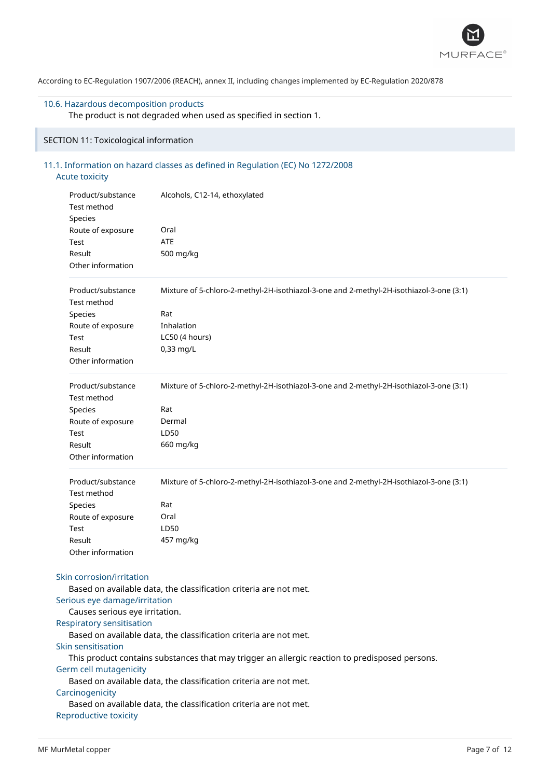

# 10.6. Hazardous decomposition products

The product is not degraded when used as specified in section 1.

# SECTION 11: Toxicological information

# 11.1. Information on hazard classes as defined in Regulation (EC) No 1272/2008 Acute toxicity

| Product/substance<br>Test method<br>Species<br>Route of exposure<br>Test<br>Result           | Alcohols, C12-14, ethoxylated<br>Oral<br><b>ATE</b><br>500 mg/kg                               |  |  |  |
|----------------------------------------------------------------------------------------------|------------------------------------------------------------------------------------------------|--|--|--|
| Other information                                                                            |                                                                                                |  |  |  |
| Product/substance<br>Test method                                                             | Mixture of 5-chloro-2-methyl-2H-isothiazol-3-one and 2-methyl-2H-isothiazol-3-one (3:1)        |  |  |  |
| Species                                                                                      | Rat                                                                                            |  |  |  |
| Route of exposure                                                                            | Inhalation                                                                                     |  |  |  |
| Test                                                                                         | LC50 (4 hours)                                                                                 |  |  |  |
| Result<br>Other information                                                                  | 0,33 mg/L                                                                                      |  |  |  |
|                                                                                              |                                                                                                |  |  |  |
| Product/substance<br>Test method<br>Species                                                  | Mixture of 5-chloro-2-methyl-2H-isothiazol-3-one and 2-methyl-2H-isothiazol-3-one (3:1)<br>Rat |  |  |  |
| Route of exposure                                                                            | Dermal                                                                                         |  |  |  |
| Test                                                                                         | LD50                                                                                           |  |  |  |
| Result                                                                                       | 660 mg/kg                                                                                      |  |  |  |
| Other information                                                                            |                                                                                                |  |  |  |
| Product/substance<br>Test method                                                             | Mixture of 5-chloro-2-methyl-2H-isothiazol-3-one and 2-methyl-2H-isothiazol-3-one (3:1)        |  |  |  |
| Species                                                                                      | Rat                                                                                            |  |  |  |
| Route of exposure                                                                            | Oral                                                                                           |  |  |  |
| Test                                                                                         | LD50                                                                                           |  |  |  |
| Result                                                                                       | 457 mg/kg                                                                                      |  |  |  |
| Other information                                                                            |                                                                                                |  |  |  |
| Skin corrosion/irritation<br>Serious eye damage/irritation<br>Causes serious eye irritation. | Based on available data, the classification criteria are not met.                              |  |  |  |
| Respiratory sensitisation                                                                    |                                                                                                |  |  |  |
|                                                                                              | Based on available data, the classification criteria are not met.                              |  |  |  |
| Skin sensitisation                                                                           |                                                                                                |  |  |  |
|                                                                                              | This product contains substances that may trigger an allergic reaction to predisposed persons. |  |  |  |
| Germ cell mutagenicity                                                                       |                                                                                                |  |  |  |
|                                                                                              | Based on available data, the classification criteria are not met.                              |  |  |  |
| Carcinogenicity                                                                              |                                                                                                |  |  |  |
|                                                                                              | Based on available data, the classification criteria are not met.                              |  |  |  |
| Reproductive toxicity                                                                        |                                                                                                |  |  |  |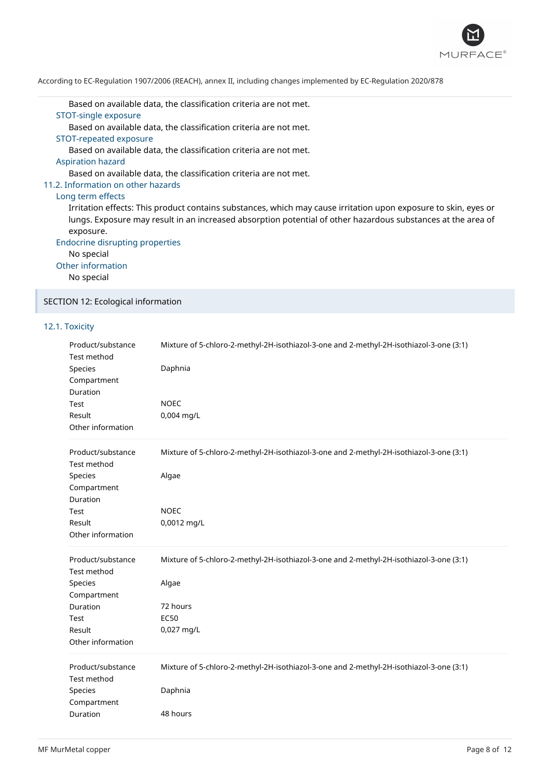

Based on available data, the classification criteria are not met.

# STOT-single exposure

Based on available data, the classification criteria are not met.

STOT-repeated exposure

Based on available data, the classification criteria are not met.

Aspiration hazard

Based on available data, the classification criteria are not met.

#### 11.2. Information on other hazards

#### Long term effects

Irritation effects: This product contains substances, which may cause irritation upon exposure to skin, eyes or lungs. Exposure may result in an increased absorption potential of other hazardous substances at the area of exposure.

Endocrine disrupting properties

No special

Other information

No special

SECTION 12: Ecological information

# 12.1. Toxicity

| Product/substance<br>Test method<br>Species<br>Compartment<br>Duration<br>Test<br>Result<br>Other information | Mixture of 5-chloro-2-methyl-2H-isothiazol-3-one and 2-methyl-2H-isothiazol-3-one (3:1)<br>Daphnia<br><b>NOEC</b><br>0,004 mg/L           |
|---------------------------------------------------------------------------------------------------------------|-------------------------------------------------------------------------------------------------------------------------------------------|
| Product/substance<br>Test method<br>Species<br>Compartment<br>Duration                                        | Mixture of 5-chloro-2-methyl-2H-isothiazol-3-one and 2-methyl-2H-isothiazol-3-one (3:1)<br>Algae                                          |
| Test<br>Result<br>Other information                                                                           | <b>NOEC</b><br>0,0012 mg/L                                                                                                                |
| Product/substance<br>Test method<br>Species<br>Compartment<br>Duration<br>Test<br>Result<br>Other information | Mixture of 5-chloro-2-methyl-2H-isothiazol-3-one and 2-methyl-2H-isothiazol-3-one (3:1)<br>Algae<br>72 hours<br><b>EC50</b><br>0,027 mg/L |
| Product/substance<br>Test method<br>Species<br>Compartment<br>Duration                                        | Mixture of 5-chloro-2-methyl-2H-isothiazol-3-one and 2-methyl-2H-isothiazol-3-one (3:1)<br>Daphnia<br>48 hours                            |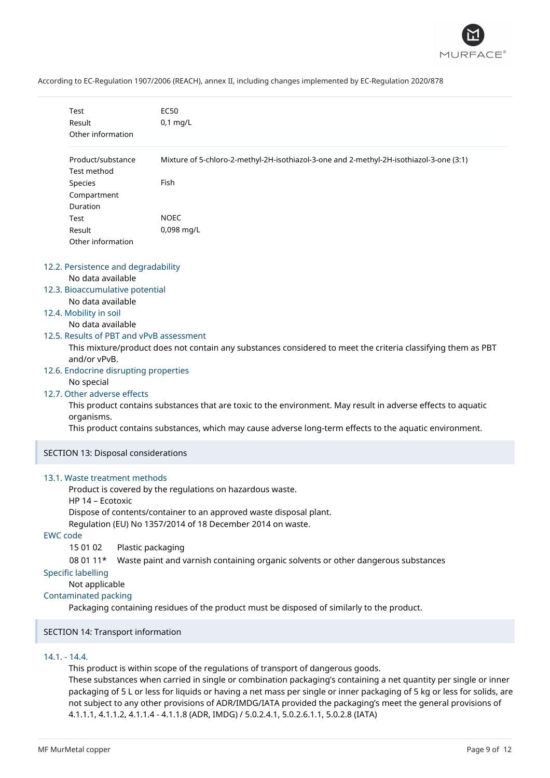

|                 | Test                                  |                   | <b>EC50</b>                                                                                                  |
|-----------------|---------------------------------------|-------------------|--------------------------------------------------------------------------------------------------------------|
|                 | Result                                |                   | $0,1$ mg/L                                                                                                   |
|                 | Other information                     |                   |                                                                                                              |
|                 | Product/substance                     |                   | Mixture of 5-chloro-2-methyl-2H-isothiazol-3-one and 2-methyl-2H-isothiazol-3-one (3:1)                      |
|                 | Test method                           |                   |                                                                                                              |
|                 | Species                               |                   | Fish                                                                                                         |
|                 | Compartment                           |                   |                                                                                                              |
|                 | Duration                              |                   |                                                                                                              |
|                 | Test                                  |                   | <b>NOEC</b>                                                                                                  |
|                 | Result                                |                   | 0,098 mg/L                                                                                                   |
|                 | Other information                     |                   |                                                                                                              |
|                 | 12.2. Persistence and degradability   |                   |                                                                                                              |
|                 | No data available                     |                   |                                                                                                              |
|                 | 12.3. Bioaccumulative potential       |                   |                                                                                                              |
|                 | No data available                     |                   |                                                                                                              |
|                 | 12.4. Mobility in soil                |                   |                                                                                                              |
|                 | No data available                     |                   |                                                                                                              |
|                 |                                       |                   | 12.5. Results of PBT and vPvB assessment                                                                     |
|                 | and/or vPvB.                          |                   | This mixture/product does not contain any substances considered to meet the criteria classifying them as PBT |
|                 | 12.6. Endocrine disrupting properties |                   |                                                                                                              |
|                 | No special                            |                   |                                                                                                              |
|                 | 12.7. Other adverse effects           |                   |                                                                                                              |
|                 | organisms.                            |                   | This product contains substances that are toxic to the environment. May result in adverse effects to aquatic |
|                 |                                       |                   | This product contains substances, which may cause adverse long-term effects to the aquatic environment.      |
|                 | SECTION 13: Disposal considerations   |                   |                                                                                                              |
|                 | 13.1. Waste treatment methods         |                   |                                                                                                              |
|                 | HP 14 - Ecotoxic                      |                   | Product is covered by the regulations on hazardous waste.                                                    |
|                 |                                       |                   | Dispose of contents/container to an approved waste disposal plant.                                           |
|                 |                                       |                   | Regulation (EU) No 1357/2014 of 18 December 2014 on waste.                                                   |
| <b>EWC</b> code |                                       |                   |                                                                                                              |
|                 | 15 01 02                              | Plastic packaging |                                                                                                              |
|                 | 08 01 11*                             |                   | Waste paint and varnish containing organic solvents or other dangerous substances                            |
|                 | <b>Specific labelling</b>             |                   |                                                                                                              |
|                 | Not applicable                        |                   |                                                                                                              |
|                 | <b>Contaminated packing</b>           |                   |                                                                                                              |
|                 |                                       |                   | Packaging containing residues of the product must be disposed of similarly to the product.                   |

SECTION 14: Transport information

# 14.1. - 14.4.

This product is within scope of the regulations of transport of dangerous goods.

These substances when carried in single or combination packaging's containing a net quantity per single or inner packaging of 5 L or less for liquids or having a net mass per single or inner packaging of 5 kg or less for solids, are not subject to any other provisions of ADR/IMDG/IATA provided the packaging's meet the general provisions of 4.1.1.1, 4.1.1.2, 4.1.1.4 - 4.1.1.8 (ADR, IMDG) / 5.0.2.4.1, 5.0.2.6.1.1, 5.0.2.8 (IATA)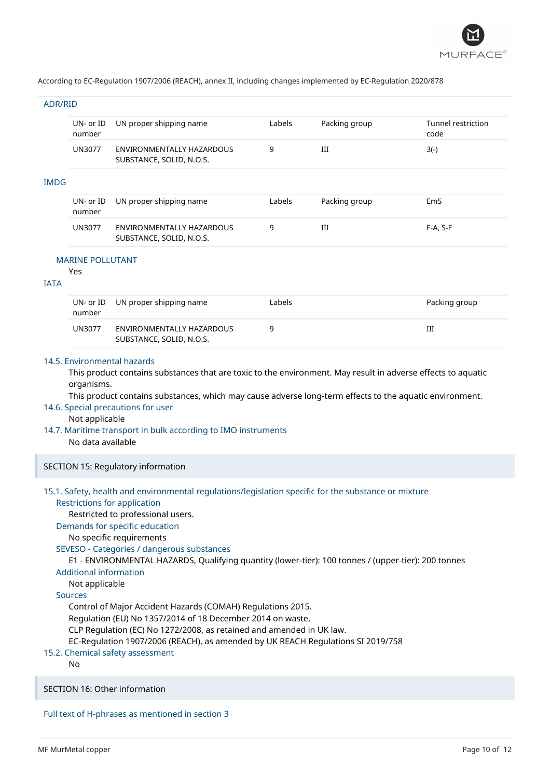

#### ADR/RID

| <b>IMDG</b> | UN- or ID<br>number     | UN proper shipping name                               | Labels | Packing group | Tunnel restriction<br>code |
|-------------|-------------------------|-------------------------------------------------------|--------|---------------|----------------------------|
|             | UN3077                  | ENVIRONMENTALLY HAZARDOUS<br>SUBSTANCE, SOLID, N.O.S. | 9      | Ш             | $3(-)$                     |
|             |                         |                                                       |        |               |                            |
|             | $UN-$ or $ID$<br>number | UN proper shipping name                               | Labels | Packing group | EmS                        |
|             | UN3077                  | ENVIRONMENTALLY HAZARDOUS                             | 9      | Ш             | $F-A, S-F$                 |

#### MARINE POLLUTANT

#### Yes

#### IATA

| number | UN- or ID UN proper shipping name                     | Labels | Packing group |
|--------|-------------------------------------------------------|--------|---------------|
| UN3077 | ENVIRONMENTALLY HAZARDOUS<br>SUBSTANCE, SOLID, N.O.S. |        | Ш             |

# 14.5. Environmental hazards

This product contains substances that are toxic to the environment. May result in adverse effects to aquatic organisms.

This product contains substances, which may cause adverse long-term effects to the aquatic environment.

#### 14.6. Special precautions for user

Not applicable

14.7. Maritime transport in bulk according to IMO instruments No data available

SUBSTANCE, SOLID, N.O.S.

SECTION 15: Regulatory information

#### 15.1. Safety, health and environmental regulations/legislation specific for the substance or mixture Restrictions for application

Restricted to professional users.

Demands for specific education

No specific requirements

SEVESO - Categories / dangerous substances

E1 - ENVIRONMENTAL HAZARDS, Qualifying quantity (lower-tier): 100 tonnes / (upper-tier): 200 tonnes Additional information

Not applicable

Sources

Control of Major Accident Hazards (COMAH) Regulations 2015.

Regulation (EU) No 1357/2014 of 18 December 2014 on waste.

CLP Regulation (EC) No 1272/2008, as retained and amended in UK law.

EC-Regulation 1907/2006 (REACH), as amended by UK REACH Regulations SI 2019/758

# 15.2. Chemical safety assessment

No

SECTION 16: Other information

#### Full text of H-phrases as mentioned in section 3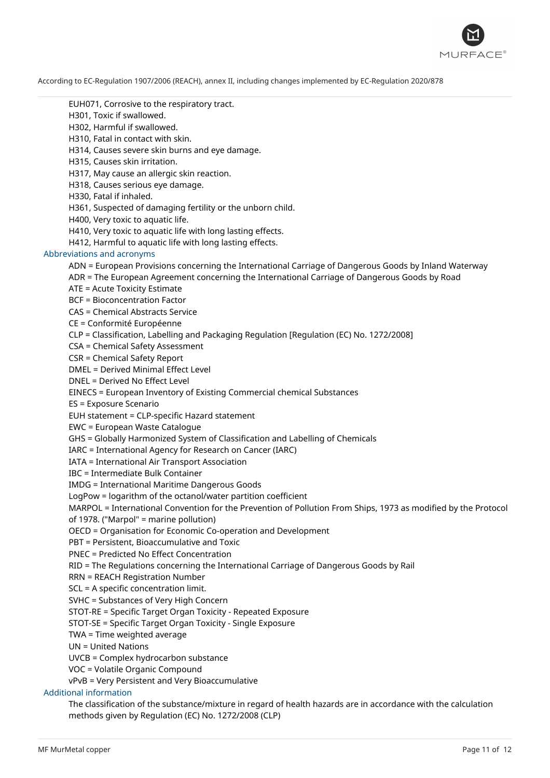

EUH071, Corrosive to the respiratory tract.

H301, Toxic if swallowed.

H302, Harmful if swallowed.

H310, Fatal in contact with skin.

H314, Causes severe skin burns and eye damage.

H315, Causes skin irritation.

H317, May cause an allergic skin reaction.

H318, Causes serious eye damage.

H330, Fatal if inhaled.

H361, Suspected of damaging fertility or the unborn child.

H400, Very toxic to aquatic life.

H410, Very toxic to aquatic life with long lasting effects.

H412, Harmful to aquatic life with long lasting effects.

#### Abbreviations and acronyms

ADN = European Provisions concerning the International Carriage of Dangerous Goods by Inland Waterway

ADR = The European Agreement concerning the International Carriage of Dangerous Goods by Road

ATE = Acute Toxicity Estimate

BCF = Bioconcentration Factor

CAS = Chemical Abstracts Service

CE = Conformité Européenne

CLP = Classification, Labelling and Packaging Regulation [Regulation (EC) No. 1272/2008]

CSA = Chemical Safety Assessment

CSR = Chemical Safety Report

DMEL = Derived Minimal Effect Level

DNEL = Derived No Effect Level

EINECS = European Inventory of Existing Commercial chemical Substances

ES = Exposure Scenario

EUH statement = CLP-specific Hazard statement

EWC = European Waste Catalogue

GHS = Globally Harmonized System of Classification and Labelling of Chemicals

IARC = International Agency for Research on Cancer (IARC)

IATA = International Air Transport Association

IBC = Intermediate Bulk Container

IMDG = International Maritime Dangerous Goods

LogPow = logarithm of the octanol/water partition coefficient

MARPOL = International Convention for the Prevention of Pollution From Ships, 1973 as modified by the Protocol of 1978. ("Marpol" = marine pollution)

OECD = Organisation for Economic Co-operation and Development

PBT = Persistent, Bioaccumulative and Toxic

PNEC = Predicted No Effect Concentration

RID = The Regulations concerning the International Carriage of Dangerous Goods by Rail

RRN = REACH Registration Number

SCL = A specific concentration limit.

SVHC = Substances of Very High Concern

STOT-RE = Specific Target Organ Toxicity - Repeated Exposure

STOT-SE = Specific Target Organ Toxicity - Single Exposure

TWA = Time weighted average

UN = United Nations

UVCB = Complex hydrocarbon substance

VOC = Volatile Organic Compound

vPvB = Very Persistent and Very Bioaccumulative

# Additional information

The classification of the substance/mixture in regard of health hazards are in accordance with the calculation methods given by Regulation (EC) No. 1272/2008 (CLP)